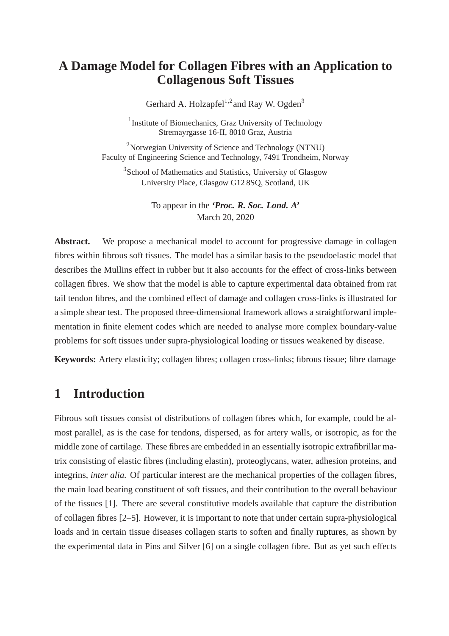## **A Damage Model for Collagen Fibres with an Application to Collagenous Soft Tissues**

Gerhard A. Holzapfel $1,2}$  and Ray W. Ogden<sup>3</sup>

<sup>1</sup> Institute of Biomechanics, Graz University of Technology Stremayrgasse 16-II, 8010 Graz, Austria

 $2^2$ Norwegian University of Science and Technology (NTNU) Faculty of Engineering Science and Technology, 7491 Trondheim, Norway

<sup>3</sup>School of Mathematics and Statistics, University of Glasgow University Place, Glasgow G12 8SQ, Scotland, UK

> To appear in the *'Proc. R. Soc. Lond. A'* March 20, 2020

Abstract. We propose a mechanical model to account for progressive damage in collagen fibres within fibrous soft tissues. The model has a similar basis to the pseudoelastic model that describes the Mullins effect in rubber but it also accounts for the effect of cross-links between collagen fibres. We show that the model is able to capture experimental data obtained from rat tail tendon fibres, and the combined effect of damage and collagen cross-links is illustrated for a simple shear test. The proposed three-dimensional framework allows a straightforward implementation in finite element codes which are needed to analyse more complex boundary-value problems for soft tissues under supra-physiological loading or tissues weakened by disease.

**Keywords:** Artery elasticity; collagen fibres; collagen cross-links; fibrous tissue; fibre damage

# **1 Introduction**

Fibrous soft tissues consist of distributions of collagen fibres which, for example, could be almost parallel, as is the case for tendons, dispersed, as for artery walls, or isotropic, as for the middle zone of cartilage. These fibres are embedded in an essentially isotropic extrafibrillar matrix consisting of elastic fibres (including elastin), proteoglycans, water, adhesion proteins, and integrins, *inter alia.* Of particular interest are the mechanical properties of the collagen fibres, the main load bearing constituent of soft tissues, and their contribution to the overall behaviour of the tissues [1]. There are several constitutive models available that capture the distribution of collagen fibres [2–5]. However, it is important to note that under certain supra-physiological loads and in certain tissue diseases collagen starts to soften and finally ruptures, as shown by the experimental data in Pins and Silver [6] on a single collagen fibre. But as yet such effects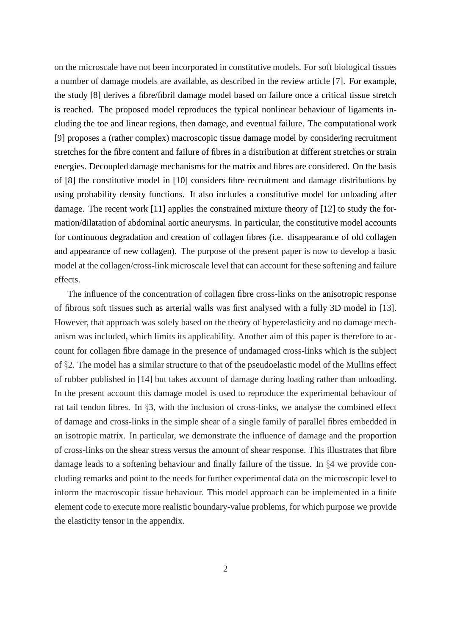on the microscale have not been incorporated in constitutive models. For soft biological tissues a number of damage models are available, as described in the review article [7]. For example, the study [8] derives a fibre/fibril damage model based on failure once a critical tissue stretch is reached. The proposed model reproduces the typical nonlinear behaviour of ligaments including the toe and linear regions, then damage, and eventual failure. The computational work [9] proposes a (rather complex) macroscopic tissue damage model by considering recruitment stretches for the fibre content and failure of fibres in a distribution at different stretches or strain energies. Decoupled damage mechanisms for the matrix and fibres are considered. On the basis of [8] the constitutive model in [10] considers fibre recruitment and damage distributions by using probability density functions. It also includes a constitutive model for unloading after damage. The recent work [11] applies the constrained mixture theory of [12] to study the formation/dilatation of abdominal aortic aneurysms. In particular, the constitutive model accounts for continuous degradation and creation of collagen fibres (i.e. disappearance of old collagen and appearance of new collagen). The purpose of the present paper is now to develop a basic model at the collagen/cross-link microscale level that can account for these softening and failure effects.

The influence of the concentration of collagen fibre cross-links on the anisotropic response of fibrous soft tissues such as arterial walls was first analysed with a fully 3D model in [13]. However, that approach was solely based on the theory of hyperelasticity and no damage mechanism was included, which limits its applicability. Another aim of this paper is therefore to account for collagen fibre damage in the presence of undamaged cross-links which is the subject of §2. The model has a similar structure to that of the pseudoelastic model of the Mullins effect of rubber published in [14] but takes account of damage during loading rather than unloading. In the present account this damage model is used to reproduce the experimental behaviour of rat tail tendon fibres. In §3, with the inclusion of cross-links, we analyse the combined effect of damage and cross-links in the simple shear of a single family of parallel fibres embedded in an isotropic matrix. In particular, we demonstrate the influence of damage and the proportion of cross-links on the shear stress versus the amount of shear response. This illustrates that fibre damage leads to a softening behaviour and finally failure of the tissue. In §4 we provide concluding remarks and point to the needs for further experimental data on the microscopic level to inform the macroscopic tissue behaviour. This model approach can be implemented in a finite element code to execute more realistic boundary-value problems, for which purpose we provide the elasticity tensor in the appendix.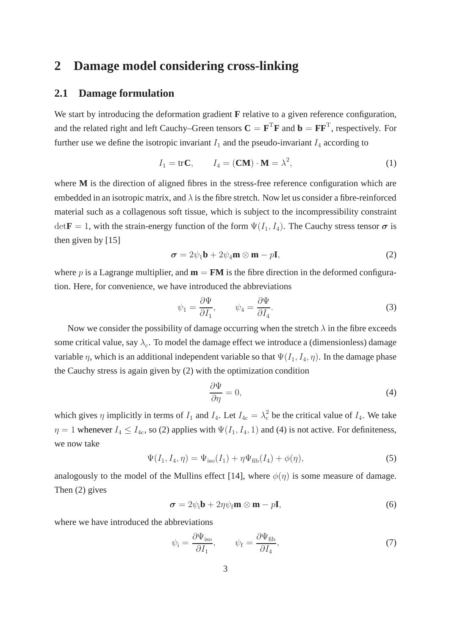### **2 Damage model considering cross-linking**

#### **2.1 Damage formulation**

We start by introducing the deformation gradient **F** relative to a given reference configuration, and the related right and left Cauchy–Green tensors  $C = F^T F$  and  $b = F F^T$ , respectively. For further use we define the isotropic invariant  $I_1$  and the pseudo-invariant  $I_4$  according to

$$
I_1 = \text{tr}\,\mathbf{C}, \qquad I_4 = (\mathbf{CM}) \cdot \mathbf{M} = \lambda^2,\tag{1}
$$

where **M** is the direction of aligned fibres in the stress-free reference configuration which are embedded in an isotropic matrix, and  $\lambda$  is the fibre stretch. Now let us consider a fibre-reinforced material such as a collagenous soft tissue, which is subject to the incompressibility constraint  $\det \mathbf{F} = 1$ , with the strain-energy function of the form  $\Psi(I_1, I_4)$ . The Cauchy stress tensor  $\sigma$  is then given by [15]

$$
\sigma = 2\psi_1 \mathbf{b} + 2\psi_4 \mathbf{m} \otimes \mathbf{m} - p\mathbf{I},\tag{2}
$$

where p is a Lagrange multiplier, and  $\mathbf{m} = \mathbf{F}\mathbf{M}$  is the fibre direction in the deformed configuration. Here, for convenience, we have introduced the abbreviations

$$
\psi_1 = \frac{\partial \Psi}{\partial I_1}, \qquad \psi_4 = \frac{\partial \Psi}{\partial I_4}.
$$
\n(3)

Now we consider the possibility of damage occurring when the stretch  $\lambda$  in the fibre exceeds some critical value, say  $\lambda_c$ . To model the damage effect we introduce a (dimensionless) damage variable  $\eta$ , which is an additional independent variable so that  $\Psi(I_1, I_4, \eta)$ . In the damage phase the Cauchy stress is again given by (2) with the optimization condition

$$
\frac{\partial \Psi}{\partial \eta} = 0,\t\t(4)
$$

which gives  $\eta$  implicitly in terms of  $I_1$  and  $I_4$ . Let  $I_{4c} = \lambda_c^2$  be the critical value of  $I_4$ . We take  $\eta = 1$  whenever  $I_4 \leq I_{4c}$ , so (2) applies with  $\Psi(I_1, I_4, 1)$  and (4) is not active. For definiteness, we now take

$$
\Psi(I_1, I_4, \eta) = \Psi_{\text{iso}}(I_1) + \eta \Psi_{\text{fib}}(I_4) + \phi(\eta),
$$
\n(5)

analogously to the model of the Mullins effect [14], where  $\phi(\eta)$  is some measure of damage. Then (2) gives

$$
\boldsymbol{\sigma} = 2\psi_i \mathbf{b} + 2\eta \psi_f \mathbf{m} \otimes \mathbf{m} - p\mathbf{I},
$$
 (6)

where we have introduced the abbreviations

$$
\psi_{\rm i} = \frac{\partial \Psi_{\rm iso}}{\partial I_1}, \qquad \psi_{\rm f} = \frac{\partial \Psi_{\rm fib}}{\partial I_4}, \tag{7}
$$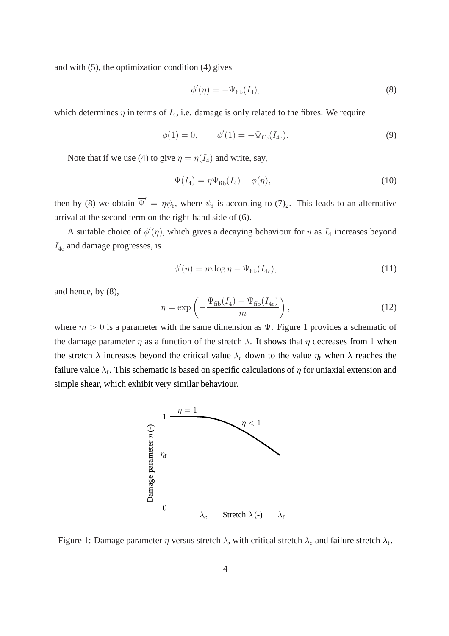and with (5), the optimization condition (4) gives

$$
\phi'(\eta) = -\Psi_{\text{fib}}(I_4),\tag{8}
$$

which determines  $\eta$  in terms of  $I_4$ , i.e. damage is only related to the fibres. We require

$$
\phi(1) = 0, \qquad \phi'(1) = -\Psi_{\text{fib}}(I_{4c}). \tag{9}
$$

Note that if we use (4) to give  $\eta = \eta(I_4)$  and write, say,

$$
\overline{\Psi}(I_4) = \eta \Psi_{\text{fib}}(I_4) + \phi(\eta),\tag{10}
$$

then by (8) we obtain  $\overline{\Psi}' = \eta \psi_f$ , where  $\psi_f$  is according to  $(7)_2$ . This leads to an alternative arrival at the second term on the right-hand side of (6).

A suitable choice of  $\phi'(\eta)$ , which gives a decaying behaviour for  $\eta$  as  $I_4$  increases beyond  $I_{4c}$  and damage progresses, is

$$
\phi'(\eta) = m \log \eta - \Psi_{\text{fib}}(I_{4c}),\tag{11}
$$

and hence, by (8),

$$
\eta = \exp\left(-\frac{\Psi_{\text{fib}}(I_4) - \Psi_{\text{fib}}(I_{4c})}{m}\right),\tag{12}
$$

where  $m > 0$  is a parameter with the same dimension as  $\Psi$ . Figure 1 provides a schematic of the damage parameter  $\eta$  as a function of the stretch  $\lambda$ . It shows that  $\eta$  decreases from 1 when the stretch  $\lambda$  increases beyond the critical value  $\lambda_c$  down to the value  $\eta_f$  when  $\lambda$  reaches the failure value  $\lambda_{\rm f}$ . This schematic is based on specific calculations of  $\eta$  for uniaxial extension and simple shear, which exhibit very similar behaviour.



Figure 1: Damage parameter  $\eta$  versus stretch  $\lambda$ , with critical stretch  $\lambda_c$  and failure stretch  $\lambda_f$ .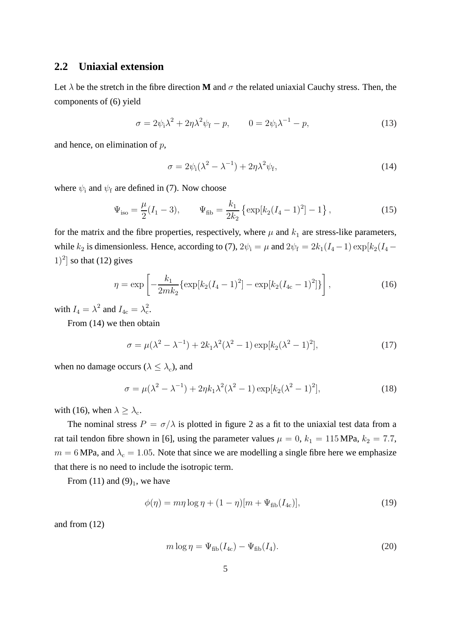### **2.2 Uniaxial extension**

Let  $\lambda$  be the stretch in the fibre direction **M** and  $\sigma$  the related uniaxial Cauchy stress. Then, the components of (6) yield

$$
\sigma = 2\psi_i\lambda^2 + 2\eta\lambda^2\psi_f - p, \qquad 0 = 2\psi_i\lambda^{-1} - p,
$$
\n(13)

and hence, on elimination of  $p$ ,

$$
\sigma = 2\psi_i(\lambda^2 - \lambda^{-1}) + 2\eta\lambda^2\psi_f,\tag{14}
$$

where  $\psi_i$  and  $\psi_f$  are defined in (7). Now choose

$$
\Psi_{\text{iso}} = \frac{\mu}{2}(I_1 - 3), \qquad \Psi_{\text{fib}} = \frac{k_1}{2k_2} \left\{ \exp[k_2(I_4 - 1)^2] - 1 \right\}, \tag{15}
$$

for the matrix and the fibre properties, respectively, where  $\mu$  and  $k_1$  are stress-like parameters, while  $k_2$  is dimensionless. Hence, according to (7),  $2\psi_i = \mu$  and  $2\psi_f = 2k_1(I_4 - 1) \exp[k_2(I_4 (1)^{2}$  so that (12) gives

$$
\eta = \exp\left[-\frac{k_1}{2mk_2} \{\exp[k_2(I_4-1)^2] - \exp[k_2(I_{4c}-1)^2]\}\right],\tag{16}
$$

with  $I_4 = \lambda^2$  and  $I_{4c} = \lambda_c^2$ .

From (14) we then obtain

$$
\sigma = \mu(\lambda^2 - \lambda^{-1}) + 2k_1\lambda^2(\lambda^2 - 1)\exp[k_2(\lambda^2 - 1)^2],\tag{17}
$$

when no damage occurs ( $\lambda \leq \lambda_c$ ), and

$$
\sigma = \mu(\lambda^2 - \lambda^{-1}) + 2\eta k_1 \lambda^2 (\lambda^2 - 1) \exp[k_2 (\lambda^2 - 1)^2],
$$
\n(18)

with (16), when  $\lambda \geq \lambda_c$ .

The nominal stress  $P = \sigma/\lambda$  is plotted in figure 2 as a fit to the uniaxial test data from a rat tail tendon fibre shown in [6], using the parameter values  $\mu = 0$ ,  $k_1 = 115 \text{ MPa}$ ,  $k_2 = 7.7$ ,  $m = 6$  MPa, and  $\lambda_c = 1.05$ . Note that since we are modelling a single fibre here we emphasize that there is no need to include the isotropic term.

From  $(11)$  and  $(9)_1$ , we have

$$
\phi(\eta) = m\eta \log \eta + (1 - \eta)[m + \Psi_{\text{fib}}(I_{4c})],\tag{19}
$$

and from (12)

$$
m \log \eta = \Psi_{\text{fib}}(I_{4c}) - \Psi_{\text{fib}}(I_4). \tag{20}
$$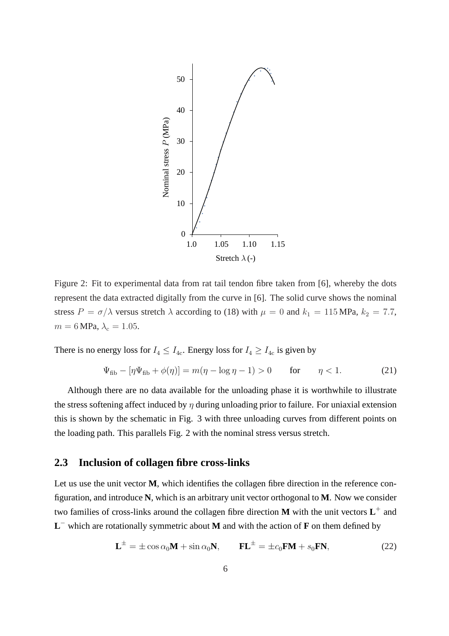

Figure 2: Fit to experimental data from rat tail tendon fibre taken from [6], whereby the dots represent the data extracted digitally from the curve in [6]. The solid curve shows the nominal stress  $P = \sigma/\lambda$  versus stretch  $\lambda$  according to (18) with  $\mu = 0$  and  $k_1 = 115 \text{ MPa}$ ,  $k_2 = 7.7$ ,  $m = 6$  MPa,  $\lambda_c = 1.05$ .

There is no energy loss for  $I_4 \leq I_{4c}$ . Energy loss for  $I_4 \geq I_{4c}$  is given by

$$
\Psi_{\text{fib}} - [\eta \Psi_{\text{fib}} + \phi(\eta)] = m(\eta - \log \eta - 1) > 0 \quad \text{for} \quad \eta < 1. \tag{21}
$$

Although there are no data available for the unloading phase it is worthwhile to illustrate the stress softening affect induced by  $\eta$  during unloading prior to failure. For uniaxial extension this is shown by the schematic in Fig. 3 with three unloading curves from different points on the loading path. This parallels Fig. 2 with the nominal stress versus stretch.

### **2.3 Inclusion of collagen fibre cross-links**

Let us use the unit vector **M**, which identifies the collagen fibre direction in the reference configuration, and introduce **N**, which is an arbitrary unit vector orthogonal to **M**. Now we consider two families of cross-links around the collagen fibre direction **M** with the unit vectors **L** + and **L** <sup>−</sup> which are rotationally symmetric about **M** and with the action of **F** on them defined by

$$
\mathbf{L}^{\pm} = \pm \cos \alpha_0 \mathbf{M} + \sin \alpha_0 \mathbf{N}, \qquad \mathbf{FL}^{\pm} = \pm c_0 \mathbf{FM} + s_0 \mathbf{FN}, \tag{22}
$$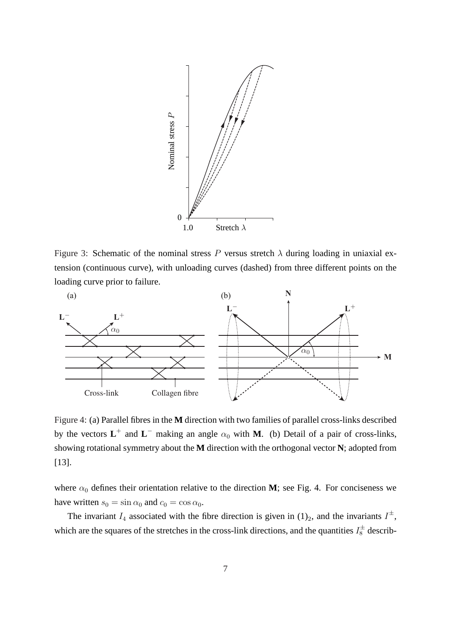

Figure 3: Schematic of the nominal stress P versus stretch  $\lambda$  during loading in uniaxial extension (continuous curve), with unloading curves (dashed) from three different points on the loading curve prior to failure.



Figure 4: (a) Parallel fibres in the **M** direction with two families of parallel cross-links described by the vectors  $L^+$  and  $L^-$  making an angle  $\alpha_0$  with **M**. (b) Detail of a pair of cross-links, showing rotational symmetry about the **M** direction with the orthogonal vector **N**; adopted from [13].

where  $\alpha_0$  defines their orientation relative to the direction **M**; see Fig. 4. For conciseness we have written  $s_0 = \sin \alpha_0$  and  $c_0 = \cos \alpha_0$ .

The invariant  $I_4$  associated with the fibre direction is given in  $(1)_2$ , and the invariants  $I^{\pm}$ , which are the squares of the stretches in the cross-link directions, and the quantities  $I_8^{\pm}$  describ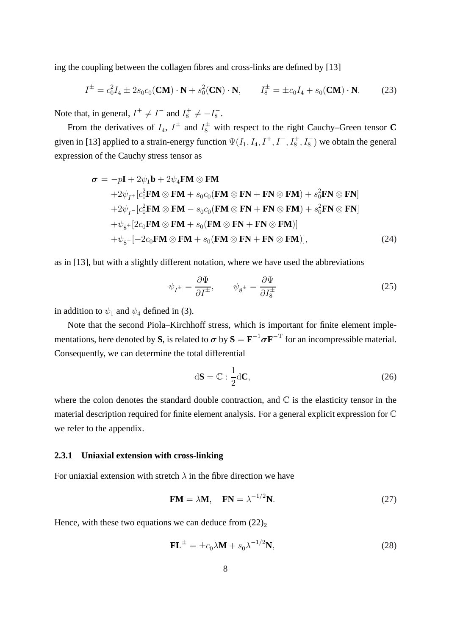ing the coupling between the collagen fibres and cross-links are defined by [13]

$$
I^{\pm} = c_0^2 I_4 \pm 2s_0 c_0 (\mathbf{CM}) \cdot \mathbf{N} + s_0^2 (\mathbf{CN}) \cdot \mathbf{N}, \qquad I_8^{\pm} = \pm c_0 I_4 + s_0 (\mathbf{CM}) \cdot \mathbf{N}. \tag{23}
$$

Note that, in general,  $I^+ \neq I^-$  and  $I_8^+ \neq -I_8^ \frac{1}{8}$  .

From the derivatives of  $I_4$ ,  $I^{\pm}$  and  $I_8^{\pm}$  with respect to the right Cauchy–Green tensor **C** given in [13] applied to a strain-energy function  $\Psi(I_1, I_4, I^+, I^-, I_8^+, I_8^-)$  we obtain the general expression of the Cauchy stress tensor as

$$
\sigma = -p\mathbf{I} + 2\psi_1 \mathbf{b} + 2\psi_4 \mathbf{FM} \otimes \mathbf{FM} + 2\psi_{I^+} [c_0^2 \mathbf{FM} \otimes \mathbf{FM} + s_0 c_0 (\mathbf{FM} \otimes \mathbf{FN} + \mathbf{FN} \otimes \mathbf{FM}) + s_0^2 \mathbf{FN} \otimes \mathbf{FN}] + 2\psi_{I^-} [c_0^2 \mathbf{FM} \otimes \mathbf{FM} - s_0 c_0 (\mathbf{FM} \otimes \mathbf{FN} + \mathbf{FN} \otimes \mathbf{FM}) + s_0^2 \mathbf{FN} \otimes \mathbf{FN}] + \psi_{g^+} [2c_0 \mathbf{FM} \otimes \mathbf{FM} + s_0 (\mathbf{FM} \otimes \mathbf{FN} + \mathbf{FN} \otimes \mathbf{FM})] + \psi_{g^-} [-2c_0 \mathbf{FM} \otimes \mathbf{FM} + s_0 (\mathbf{FM} \otimes \mathbf{FN} + \mathbf{FN} \otimes \mathbf{FM})],
$$
 (24)

as in [13], but with a slightly different notation, where we have used the abbreviations

$$
\psi_{I^{\pm}} = \frac{\partial \Psi}{\partial I^{\pm}}, \qquad \psi_{8^{\pm}} = \frac{\partial \Psi}{\partial I^{\pm}_8}
$$
\n(25)

in addition to  $\psi_1$  and  $\psi_4$  defined in (3).

Note that the second Piola–Kirchhoff stress, which is important for finite element implementations, here denoted by S, is related to  $\sigma$  by  $S = F^{-1} \sigma F^{-T}$  for an incompressible material. Consequently, we can determine the total differential

$$
d\mathbf{S} = \mathbb{C} : \frac{1}{2} d\mathbf{C},\tag{26}
$$

where the colon denotes the standard double contraction, and  $\mathbb C$  is the elasticity tensor in the material description required for finite element analysis. For a general explicit expression for C we refer to the appendix.

#### **2.3.1 Uniaxial extension with cross-linking**

For uniaxial extension with stretch  $\lambda$  in the fibre direction we have

$$
FM = \lambda M, \quad FN = \lambda^{-1/2}N. \tag{27}
$$

Hence, with these two equations we can deduce from  $(22)_2$ 

$$
\mathbf{FL}^{\pm} = \pm c_0 \lambda \mathbf{M} + s_0 \lambda^{-1/2} \mathbf{N},\tag{28}
$$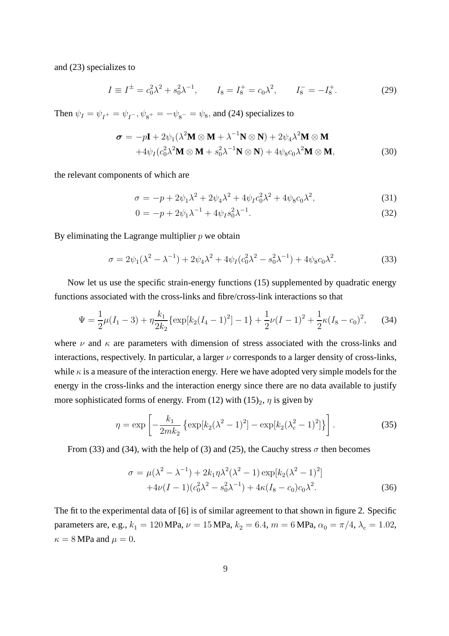and (23) specializes to

$$
I \equiv I^{\pm} = c_0^2 \lambda^2 + s_0^2 \lambda^{-1}, \qquad I_8 = I_8^+ = c_0 \lambda^2, \qquad I_8^- = -I_8^+. \tag{29}
$$

Then  $\psi_I = \psi_{I^+} = \psi_{I^-}, \psi_{8^+} = -\psi_{8^-} = \psi_8$ , and (24) specializes to

$$
\boldsymbol{\sigma} = -p\mathbf{I} + 2\psi_1(\lambda^2 \mathbf{M} \otimes \mathbf{M} + \lambda^{-1} \mathbf{N} \otimes \mathbf{N}) + 2\psi_4 \lambda^2 \mathbf{M} \otimes \mathbf{M}
$$
  
+4 $\psi_I (c_0^2 \lambda^2 \mathbf{M} \otimes \mathbf{M} + s_0^2 \lambda^{-1} \mathbf{N} \otimes \mathbf{N}) + 4\psi_8 c_0 \lambda^2 \mathbf{M} \otimes \mathbf{M},$  (30)

the relevant components of which are

$$
\sigma = -p + 2\psi_1 \lambda^2 + 2\psi_4 \lambda^2 + 4\psi_1 c_0^2 \lambda^2 + 4\psi_8 c_0 \lambda^2, \tag{31}
$$

$$
0 = -p + 2\psi_1 \lambda^{-1} + 4\psi_I s_0^2 \lambda^{-1}.
$$
\n(32)

By eliminating the Lagrange multiplier  $p$  we obtain

$$
\sigma = 2\psi_1(\lambda^2 - \lambda^{-1}) + 2\psi_4\lambda^2 + 4\psi_I(c_0^2\lambda^2 - s_0^2\lambda^{-1}) + 4\psi_8c_0\lambda^2.
$$
 (33)

Now let us use the specific strain-energy functions (15) supplemented by quadratic energy functions associated with the cross-links and fibre/cross-link interactions so that

$$
\Psi = \frac{1}{2}\mu(I_1 - 3) + \eta \frac{k_1}{2k_2} \{ \exp[k_2(I_4 - 1)^2] - 1 \} + \frac{1}{2}\nu(I - 1)^2 + \frac{1}{2}\kappa(I_8 - c_0)^2, \tag{34}
$$

where  $\nu$  and  $\kappa$  are parameters with dimension of stress associated with the cross-links and interactions, respectively. In particular, a larger  $\nu$  corresponds to a larger density of cross-links, while  $\kappa$  is a measure of the interaction energy. Here we have adopted very simple models for the energy in the cross-links and the interaction energy since there are no data available to justify more sophisticated forms of energy. From (12) with  $(15)_2$ ,  $\eta$  is given by

$$
\eta = \exp\left[-\frac{k_1}{2mk_2} \left\{ \exp[k_2(\lambda^2 - 1)^2] - \exp[k_2(\lambda_c^2 - 1)^2] \right\} \right].
$$
 (35)

From (33) and (34), with the help of (3) and (25), the Cauchy stress  $\sigma$  then becomes

$$
\sigma = \mu(\lambda^2 - \lambda^{-1}) + 2k_1 \eta \lambda^2 (\lambda^2 - 1) \exp[k_2 (\lambda^2 - 1)^2]
$$
  
+4\nu(I - 1)(c\_0^2 \lambda^2 - s\_0^2 \lambda^{-1}) + 4\kappa (I\_8 - c\_0) c\_0 \lambda^2. (36)

The fit to the experimental data of [6] is of similar agreement to that shown in figure 2. Specific parameters are, e.g.,  $k_1 = 120 \text{ MPa}$ ,  $\nu = 15 \text{ MPa}$ ,  $k_2 = 6.4$ ,  $m = 6 \text{ MPa}$ ,  $\alpha_0 = \pi/4$ ,  $\lambda_c = 1.02$ ,  $\kappa = 8$  MPa and  $\mu = 0$ .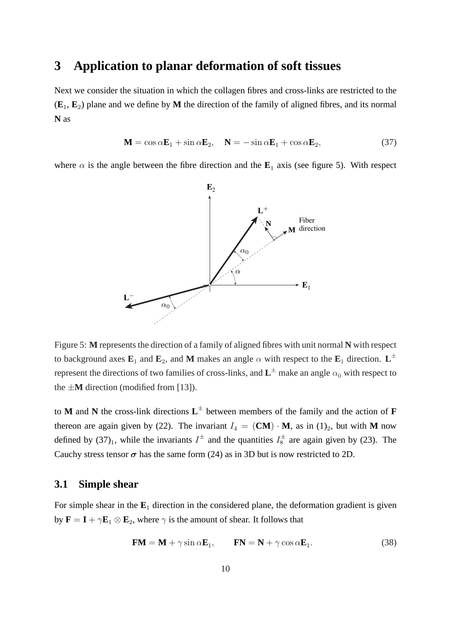### **3 Application to planar deformation of soft tissues**

Next we consider the situation in which the collagen fibres and cross-links are restricted to the  $(E_1, E_2)$  plane and we define by M the direction of the family of aligned fibres, and its normal **N** as

$$
\mathbf{M} = \cos \alpha \mathbf{E}_1 + \sin \alpha \mathbf{E}_2, \quad \mathbf{N} = -\sin \alpha \mathbf{E}_1 + \cos \alpha \mathbf{E}_2,\tag{37}
$$

where  $\alpha$  is the angle between the fibre direction and the  $\mathbf{E}_1$  axis (see figure 5). With respect



Figure 5: **M** represents the direction of a family of aligned fibres with unit normal **N** with respect to background axes  $\mathbf{E}_1$  and  $\mathbf{E}_2$ , and **M** makes an angle  $\alpha$  with respect to the  $\mathbf{E}_1$  direction.  $\mathbf{L}^{\pm}$ represent the directions of two families of cross-links, and  $\mathbf{L}^{\pm}$  make an angle  $\alpha_0$  with respect to the  $\pm M$  direction (modified from [13]).

to **M** and **N** the cross-link directions **L** ± between members of the family and the action of **F** thereon are again given by (22). The invariant  $I_4 = (\mathbf{CM}) \cdot \mathbf{M}$ , as in (1)<sub>2</sub>, but with M now defined by  $(37)_1$ , while the invariants  $I^{\pm}$  and the quantities  $I_8^{\pm}$  are again given by (23). The Cauchy stress tensor  $\sigma$  has the same form (24) as in 3D but is now restricted to 2D.

### **3.1 Simple shear**

For simple shear in the  $E_1$  direction in the considered plane, the deformation gradient is given by  $\mathbf{F} = \mathbf{I} + \gamma \mathbf{E}_1 \otimes \mathbf{E}_2$ , where  $\gamma$  is the amount of shear. It follows that

$$
FM = M + \gamma \sin \alpha E_1, \qquad FN = N + \gamma \cos \alpha E_1. \tag{38}
$$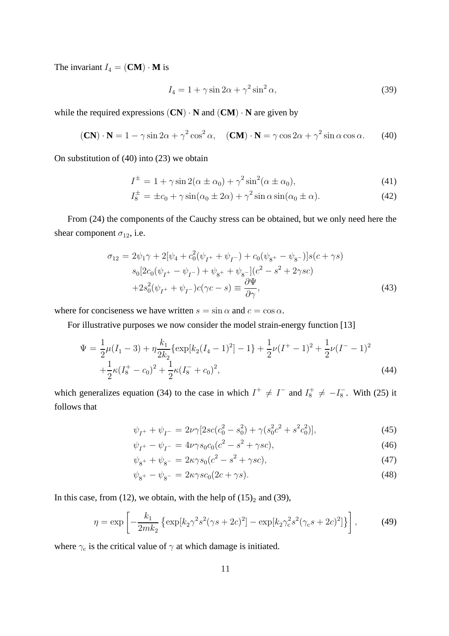The invariant  $I_4 = (\mathbf{CM}) \cdot \mathbf{M}$  is

$$
I_4 = 1 + \gamma \sin 2\alpha + \gamma^2 \sin^2 \alpha,\tag{39}
$$

while the required expressions  $(CN) \cdot N$  and  $(CM) \cdot N$  are given by

$$
(\mathbf{CN}) \cdot \mathbf{N} = 1 - \gamma \sin 2\alpha + \gamma^2 \cos^2 \alpha, \quad (\mathbf{CM}) \cdot \mathbf{N} = \gamma \cos 2\alpha + \gamma^2 \sin \alpha \cos \alpha. \tag{40}
$$

On substitution of (40) into (23) we obtain

$$
I^{\pm} = 1 + \gamma \sin 2(\alpha \pm \alpha_0) + \gamma^2 \sin^2(\alpha \pm \alpha_0), \tag{41}
$$

$$
I_8^{\pm} = \pm c_0 + \gamma \sin(\alpha_0 \pm 2\alpha) + \gamma^2 \sin \alpha \sin(\alpha_0 \pm \alpha). \tag{42}
$$

From (24) the components of the Cauchy stress can be obtained, but we only need here the shear component  $\sigma_{12}$ , i.e.

$$
\sigma_{12} = 2\psi_1 \gamma + 2[\psi_4 + c_0^2(\psi_{I^+} + \psi_{I^-}) + c_0(\psi_{8^+} - \psi_{8^-})]s(c + \gamma s)
$$
  
\n
$$
s_0[2c_0(\psi_{I^+} - \psi_{I^-}) + \psi_{8^+} + \psi_{8^-}] (c^2 - s^2 + 2\gamma sc)
$$
  
\n
$$
+ 2s_0^2(\psi_{I^+} + \psi_{I^-})c(\gamma c - s) \equiv \frac{\partial \Psi}{\partial \gamma},
$$
\n(43)

where for conciseness we have written  $s = \sin \alpha$  and  $c = \cos \alpha$ .

For illustrative purposes we now consider the model strain-energy function [13]

$$
\Psi = \frac{1}{2}\mu(I_1 - 3) + \eta \frac{k_1}{2k_2} \{ \exp[k_2(I_4 - 1)^2] - 1 \} + \frac{1}{2}\nu(I^+ - 1)^2 + \frac{1}{2}\nu(I^- - 1)^2
$$
  
 
$$
+ \frac{1}{2}\kappa(I_8^+ - c_0)^2 + \frac{1}{2}\kappa(I_8^- + c_0)^2,
$$
 (44)

which generalizes equation (34) to the case in which  $I^+ \neq I^-$  and  $I_8^+ \neq -I_8^ \overline{s}$ . With (25) it follows that

$$
\psi_{I^+} + \psi_{I^-} = 2\nu\gamma[2sc(c_0^2 - s_0^2) + \gamma(s_0^2c^2 + s^2c_0^2)],\tag{45}
$$

$$
\psi_{I^{+}} - \psi_{I^{-}} = 4\nu\gamma s_0 c_0 (c^2 - s^2 + \gamma sc), \tag{46}
$$

$$
\psi_{8^{+}} + \psi_{8^{-}} = 2\kappa\gamma s_0 (c^2 - s^2 + \gamma sc), \tag{47}
$$

$$
\psi_{8^{+}} - \psi_{8^{-}} = 2\kappa\gamma sc_{0}(2c + \gamma s). \tag{48}
$$

In this case, from (12), we obtain, with the help of  $(15)_2$  and (39),

$$
\eta = \exp\left[-\frac{k_1}{2mk_2} \left\{ \exp[k_2 \gamma^2 s^2 (\gamma s + 2c)^2] - \exp[k_2 \gamma_c^2 s^2 (\gamma_c s + 2c)^2] \right\} \right],\tag{49}
$$

where  $\gamma_c$  is the critical value of  $\gamma$  at which damage is initiated.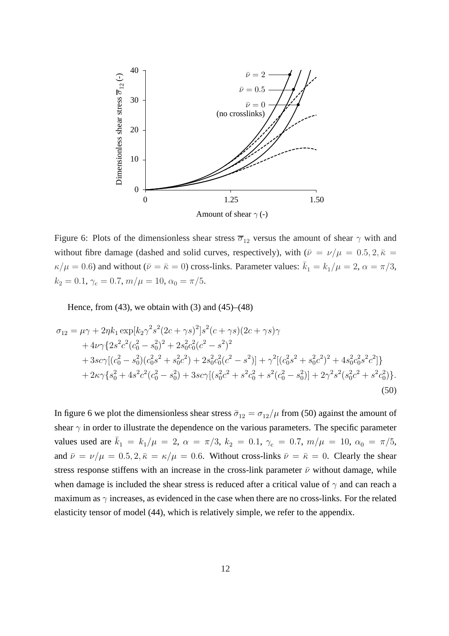

Figure 6: Plots of the dimensionless shear stress  $\overline{\sigma}_{12}$  versus the amount of shear  $\gamma$  with and without fibre damage (dashed and solid curves, respectively), with  $(\bar{\nu} = \nu/\mu = 0.5, 2, \bar{\kappa} =$  $\kappa/\mu = 0.6$ ) and without ( $\bar{\nu} = \bar{\kappa} = 0$ ) cross-links. Parameter values:  $\bar{k}_1 = k_1/\mu = 2$ ,  $\alpha = \pi/3$ ,  $k_2 = 0.1$ ,  $\gamma_c = 0.7$ ,  $m/\mu = 10$ ,  $\alpha_0 = \pi/5$ .

Hence, from  $(43)$ , we obtain with  $(3)$  and  $(45)$ – $(48)$ 

$$
\sigma_{12} = \mu \gamma + 2\eta k_1 \exp[k_2 \gamma^2 s^2 (2c + \gamma s)^2] s^2 (c + \gamma s) (2c + \gamma s) \gamma \n+ 4\nu \gamma \{2s^2 c^2 (c_0^2 - s_0^2)^2 + 2s_0^2 c_0^2 (c^2 - s^2)^2 \n+ 3sc \gamma [(c_0^2 - s_0^2)(c_0^2 s^2 + s_0^2 c^2) + 2s_0^2 c_0^2 (c^2 - s^2)] + \gamma^2 [(c_0^2 s^2 + s_0^2 c^2)^2 + 4s_0^2 c_0^2 s^2 c^2] \} \n+ 2\kappa \gamma \{s_0^2 + 4s^2 c^2 (c_0^2 - s_0^2) + 3sc \gamma [(s_0^2 c^2 + s^2 c_0^2 + s^2 (c_0^2 - s_0^2)] + 2\gamma^2 s^2 (s_0^2 c^2 + s^2 c_0^2)].
$$
\n(50)

In figure 6 we plot the dimensionless shear stress  $\bar{\sigma}_{12} = \sigma_{12}/\mu$  from (50) against the amount of shear  $\gamma$  in order to illustrate the dependence on the various parameters. The specific parameter values used are  $\bar{k}_1 = k_1/\mu = 2$ ,  $\alpha = \pi/3$ ,  $k_2 = 0.1$ ,  $\gamma_c = 0.7$ ,  $m/\mu = 10$ ,  $\alpha_0 = \pi/5$ , and  $\bar{\nu} = \nu/\mu = 0.5, 2, \bar{\kappa} = \kappa/\mu = 0.6$ . Without cross-links  $\bar{\nu} = \bar{\kappa} = 0$ . Clearly the shear stress response stiffens with an increase in the cross-link parameter  $\bar{\nu}$  without damage, while when damage is included the shear stress is reduced after a critical value of  $\gamma$  and can reach a maximum as  $\gamma$  increases, as evidenced in the case when there are no cross-links. For the related elasticity tensor of model (44), which is relatively simple, we refer to the appendix.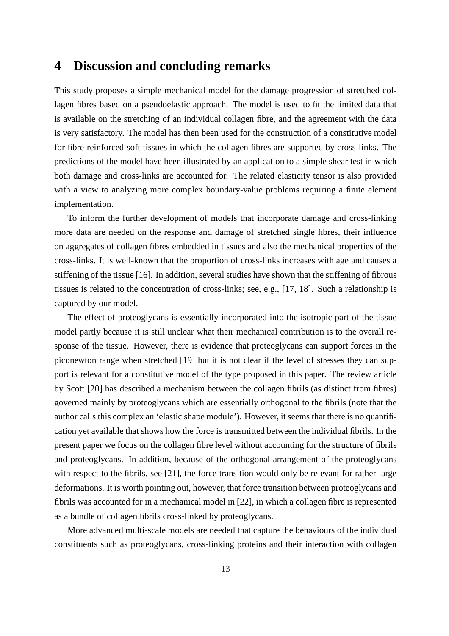### **4 Discussion and concluding remarks**

This study proposes a simple mechanical model for the damage progression of stretched collagen fibres based on a pseudoelastic approach. The model is used to fit the limited data that is available on the stretching of an individual collagen fibre, and the agreement with the data is very satisfactory. The model has then been used for the construction of a constitutive model for fibre-reinforced soft tissues in which the collagen fibres are supported by cross-links. The predictions of the model have been illustrated by an application to a simple shear test in which both damage and cross-links are accounted for. The related elasticity tensor is also provided with a view to analyzing more complex boundary-value problems requiring a finite element implementation.

To inform the further development of models that incorporate damage and cross-linking more data are needed on the response and damage of stretched single fibres, their influence on aggregates of collagen fibres embedded in tissues and also the mechanical properties of the cross-links. It is well-known that the proportion of cross-links increases with age and causes a stiffening of the tissue [16]. In addition, several studies have shown that the stiffening of fibrous tissues is related to the concentration of cross-links; see, e.g., [17, 18]. Such a relationship is captured by our model.

The effect of proteoglycans is essentially incorporated into the isotropic part of the tissue model partly because it is still unclear what their mechanical contribution is to the overall response of the tissue. However, there is evidence that proteoglycans can support forces in the piconewton range when stretched [19] but it is not clear if the level of stresses they can support is relevant for a constitutive model of the type proposed in this paper. The review article by Scott [20] has described a mechanism between the collagen fibrils (as distinct from fibres) governed mainly by proteoglycans which are essentially orthogonal to the fibrils (note that the author calls this complex an 'elastic shape module'). However, it seems that there is no quantification yet available that shows how the force is transmitted between the individual fibrils. In the present paper we focus on the collagen fibre level without accounting for the structure of fibrils and proteoglycans. In addition, because of the orthogonal arrangement of the proteoglycans with respect to the fibrils, see [21], the force transition would only be relevant for rather large deformations. It is worth pointing out, however, that force transition between proteoglycans and fibrils was accounted for in a mechanical model in [22], in which a collagen fibre is represented as a bundle of collagen fibrils cross-linked by proteoglycans.

More advanced multi-scale models are needed that capture the behaviours of the individual constituents such as proteoglycans, cross-linking proteins and their interaction with collagen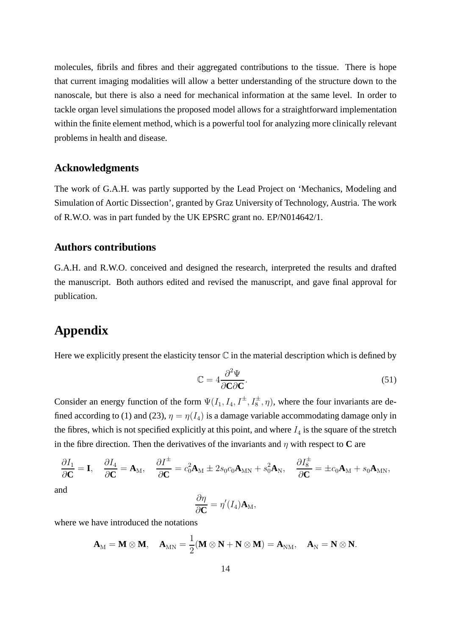molecules, fibrils and fibres and their aggregated contributions to the tissue. There is hope that current imaging modalities will allow a better understanding of the structure down to the nanoscale, but there is also a need for mechanical information at the same level. In order to tackle organ level simulations the proposed model allows for a straightforward implementation within the finite element method, which is a powerful tool for analyzing more clinically relevant problems in health and disease.

#### **Acknowledgments**

The work of G.A.H. was partly supported by the Lead Project on 'Mechanics, Modeling and Simulation of Aortic Dissection', granted by Graz University of Technology, Austria. The work of R.W.O. was in part funded by the UK EPSRC grant no. EP/N014642/1.

### **Authors contributions**

G.A.H. and R.W.O. conceived and designed the research, interpreted the results and drafted the manuscript. Both authors edited and revised the manuscript, and gave final approval for publication.

## **Appendix**

Here we explicitly present the elasticity tensor  $\mathbb C$  in the material description which is defined by

$$
\mathbb{C} = 4 \frac{\partial^2 \Psi}{\partial \mathbf{C} \partial \mathbf{C}}.
$$
 (51)

Consider an energy function of the form  $\Psi(I_1, I_4, I^{\pm}, I_8^{\pm}, \eta)$ , where the four invariants are defined according to (1) and (23),  $\eta = \eta(I_4)$  is a damage variable accommodating damage only in the fibres, which is not specified explicitly at this point, and where  $I_4$  is the square of the stretch in the fibre direction. Then the derivatives of the invariants and  $\eta$  with respect to **C** are

$$
\frac{\partial I_1}{\partial \mathbf{C}} = \mathbf{I}, \quad \frac{\partial I_4}{\partial \mathbf{C}} = \mathbf{A}_{\mathrm{M}}, \quad \frac{\partial I^{\pm}}{\partial \mathbf{C}} = c_0^2 \mathbf{A}_{\mathrm{M}} \pm 2s_0 c_0 \mathbf{A}_{\mathrm{M}N} + s_0^2 \mathbf{A}_{\mathrm{N}}, \quad \frac{\partial I_8^{\pm}}{\partial \mathbf{C}} = \pm c_0 \mathbf{A}_{\mathrm{M}} + s_0 \mathbf{A}_{\mathrm{M}N},
$$
 and

$$
\frac{\partial \eta}{\partial \mathbf{C}} = \eta'(I_4) \mathbf{A}_{\mathrm{M}},
$$

where we have introduced the notations

$$
\mathbf{A}_{\mathrm{M}} = \mathbf{M} \otimes \mathbf{M}, \quad \mathbf{A}_{\mathrm{MN}} = \frac{1}{2}(\mathbf{M} \otimes \mathbf{N} + \mathbf{N} \otimes \mathbf{M}) = \mathbf{A}_{\mathrm{NM}}, \quad \mathbf{A}_{\mathrm{N}} = \mathbf{N} \otimes \mathbf{N}.
$$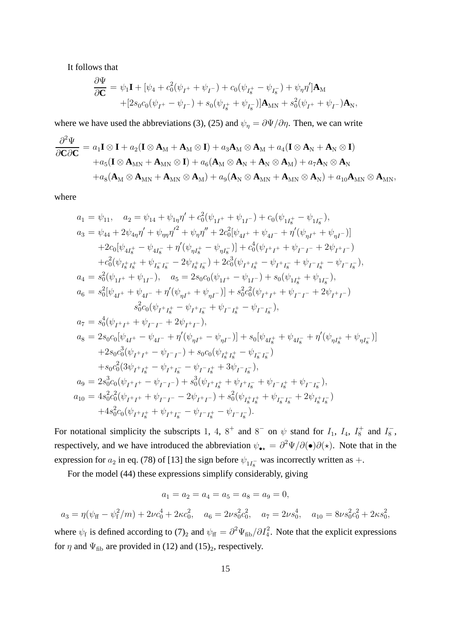It follows that

$$
\begin{aligned} \frac{\partial \Psi}{\partial \mathbf{C}}&=\psi_{1}\mathbf{I}+[\psi_{4}+c_{0}^{2}(\psi_{I^{+}}+\psi_{I^{-}})+c_{0}(\psi_{I^{+}_{8}}-\psi_{I^{-}_{8}})+\psi_{\eta}\eta']\mathbf{A}_{\mathrm{M}}\\ &+[2s_{0}c_{0}(\psi_{I^{+}}-\psi_{I^{-}})+s_{0}(\psi_{I^{+}_{8}}+\psi_{I^{-}_{8}})]\mathbf{A}_{\mathrm{MN}}+s_{0}^{2}(\psi_{I^{+}}+\psi_{I^{-}})\mathbf{A}_{\mathrm{N}}, \end{aligned}
$$

where we have used the abbreviations (3), (25) and  $\psi_{\eta} = \partial \Psi / \partial \eta$ . Then, we can write

$$
\begin{aligned}\n\frac{\partial^2 \Psi}{\partial \mathbf{C} \partial \mathbf{C}} &= a_1 \mathbf{I} \otimes \mathbf{I} + a_2 (\mathbf{I} \otimes \mathbf{A}_M + \mathbf{A}_M \otimes \mathbf{I}) + a_3 \mathbf{A}_M \otimes \mathbf{A}_M + a_4 (\mathbf{I} \otimes \mathbf{A}_N + \mathbf{A}_N \otimes \mathbf{I}) \\
&\quad + a_5 (\mathbf{I} \otimes \mathbf{A}_{MN} + \mathbf{A}_{MN} \otimes \mathbf{I}) + a_6 (\mathbf{A}_M \otimes \mathbf{A}_N + \mathbf{A}_N \otimes \mathbf{A}_M) + a_7 \mathbf{A}_N \otimes \mathbf{A}_N \\
&\quad + a_8 (\mathbf{A}_M \otimes \mathbf{A}_{MN} + \mathbf{A}_{MN} \otimes \mathbf{A}_M) + a_9 (\mathbf{A}_N \otimes \mathbf{A}_{MN} + \mathbf{A}_{MN} \otimes \mathbf{A}_N) + a_{10} \mathbf{A}_{MN} \otimes \mathbf{A}_{MN},\n\end{aligned}
$$

where

$$
a_1 = \psi_{11}, \quad a_2 = \psi_{14} + \psi_{1\eta}\eta' + c_0^2(\psi_{1I^+} + \psi_{1I^-}) + c_0(\psi_{1I_s^+} - \psi_{1I_s^-}),
$$
  
\n
$$
a_3 = \psi_{44} + 2\psi_{4\eta}\eta' + \psi_{\eta\eta}\eta'^2 + \psi_{\eta\eta}\eta'' + 2c_0^2[\psi_{4I^+} + \psi_{4I^-} + \eta'(\psi_{\eta I^+} + \psi_{\eta I^-})]
$$
  
\n
$$
+2c_0[\psi_{4I_s^+} - \psi_{4I_s^-} + \eta'(\psi_{\eta I_s^+} - \psi_{\eta I_s^-})] + c_0^4(\psi_{I^+I^+} + \psi_{I^-I^-} + 2\psi_{I^+I^-})
$$
  
\n
$$
+c_0^2(\psi_{I_s^+I_s^+} + \psi_{I_s^-I_s^-} - 2\psi_{I_s^+I_s^-}) + 2c_0^3(\psi_{I^+I_s^+} - \psi_{I^+I_s^-} + \psi_{I^-I_s^+} - \psi_{I^-I_s^-}),
$$
  
\n
$$
a_4 = s_0^2(\psi_{1I^+} + \psi_{1I^-}), \quad a_5 = 2s_0c_0(\psi_{1I^+} - \psi_{1I^-}) + s_0(\psi_{1I_s^+} + \psi_{1I_s^-}),
$$
  
\n
$$
a_6 = s_0^2[\psi_{4I^+} + \psi_{4I^-} + \eta'(\psi_{\eta I^+} + \psi_{\eta I^-})] + s_0^2c_0^2(\psi_{I^+I^+} + \psi_{I^-I^-} + 2\psi_{I^+I^-})
$$
  
\n
$$
s_0^2c_0(\psi_{I^+I_s^+} - \psi_{I^+I_s^-} + \psi_{I^-I_s^+} - \psi_{I^-I_s^-}),
$$
  
\n
$$
a_7 = s_0^4(\psi_{I^+I^+} + \psi_{I^-I^-} + 2\psi_{I^+I^-}),
$$
  
\n
$$
a_8 = 2s_0c_0[\psi_{4I^+} - \psi_{4I^-} + \eta'(\psi_{\eta I^+} - \psi_{\eta I^-})] + s_0[\psi_{4
$$

For notational simplicity the subscripts 1, 4,  $8^+$  and  $8^-$  on  $\psi$  stand for  $I_1$ ,  $I_4$ ,  $I_8^+$  and  $I_8^ _{8}^{-}$ respectively, and we have introduced the abbreviation  $\psi_{\bullet\star} = \frac{\partial^2 \Psi}{\partial(\bullet)}\frac{\partial}{\partial(\star)}$ . Note that in the expression for  $a_2$  in eq. (78) of [13] the sign before  $\psi_{1I_8^-}$  was incorrectly written as +.

For the model (44) these expressions simplify considerably, giving

$$
a_1 = a_2 = a_4 = a_5 = a_8 = a_9 = 0,
$$

$$
a_3 = \eta(\psi_{\rm ff} - \psi_{\rm f}^2/m) + 2\nu c_0^4 + 2\kappa c_0^2, \quad a_6 = 2\nu s_0^2 c_0^2, \quad a_7 = 2\nu s_0^4, \quad a_{10} = 8\nu s_0^2 c_0^2 + 2\kappa s_0^2,
$$

where  $\psi_f$  is defined according to (7)<sub>2</sub> and  $\psi_f = \partial^2 \Psi_{fib}/\partial I_4^2$ . Note that the explicit expressions for  $\eta$  and  $\Psi_{\text{fib}}$  are provided in (12) and (15)<sub>2</sub>, respectively.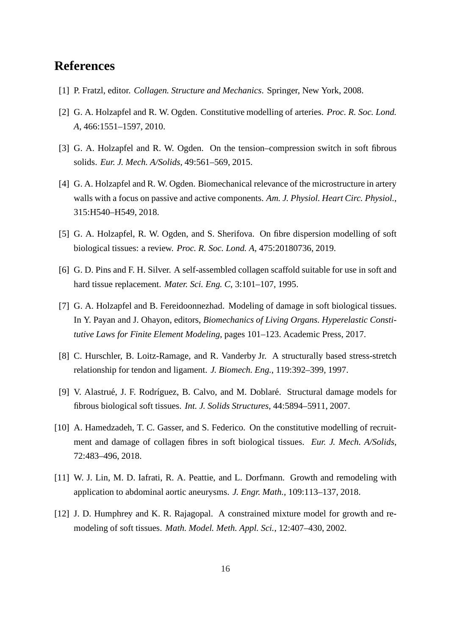## **References**

- [1] P. Fratzl, editor. *Collagen. Structure and Mechanics*. Springer, New York, 2008.
- [2] G. A. Holzapfel and R. W. Ogden. Constitutive modelling of arteries. *Proc. R. Soc. Lond. A*, 466:1551–1597, 2010.
- [3] G. A. Holzapfel and R. W. Ogden. On the tension–compression switch in soft fibrous solids. *Eur. J. Mech. A/Solids*, 49:561–569, 2015.
- [4] G. A. Holzapfel and R. W. Ogden. Biomechanical relevance of the microstructure in artery walls with a focus on passive and active components. *Am. J. Physiol. Heart Circ. Physiol.*, 315:H540–H549, 2018.
- [5] G. A. Holzapfel, R. W. Ogden, and S. Sherifova. On fibre dispersion modelling of soft biological tissues: a review. *Proc. R. Soc. Lond. A*, 475:20180736, 2019.
- [6] G. D. Pins and F. H. Silver. A self-assembled collagen scaffold suitable for use in soft and hard tissue replacement. *Mater. Sci. Eng. C*, 3:101–107, 1995.
- [7] G. A. Holzapfel and B. Fereidoonnezhad. Modeling of damage in soft biological tissues. In Y. Payan and J. Ohayon, editors, *Biomechanics of Living Organs. Hyperelastic Constitutive Laws for Finite Element Modeling*, pages 101–123. Academic Press, 2017.
- [8] C. Hurschler, B. Loitz-Ramage, and R. Vanderby Jr. A structurally based stress-stretch relationship for tendon and ligament. *J. Biomech. Eng.*, 119:392–399, 1997.
- [9] V. Alastrué, J. F. Rodríguez, B. Calvo, and M. Doblaré. Structural damage models for fibrous biological soft tissues. *Int. J. Solids Structures*, 44:5894–5911, 2007.
- [10] A. Hamedzadeh, T. C. Gasser, and S. Federico. On the constitutive modelling of recruitment and damage of collagen fibres in soft biological tissues. *Eur. J. Mech. A/Solids*, 72:483–496, 2018.
- [11] W. J. Lin, M. D. Iafrati, R. A. Peattie, and L. Dorfmann. Growth and remodeling with application to abdominal aortic aneurysms. *J. Engr. Math.*, 109:113–137, 2018.
- [12] J. D. Humphrey and K. R. Rajagopal. A constrained mixture model for growth and remodeling of soft tissues. *Math. Model. Meth. Appl. Sci.*, 12:407–430, 2002.